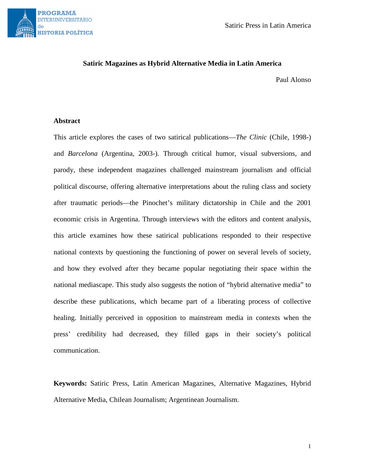

Satiric Press in Latin America

# **Satiric Magazines as Hybrid Alternative Media in Latin America**

Paul Alonso

## **Abstract**

This article explores the cases of two satirical publications—*The Clinic* (Chile, 1998-) and *Barcelona* (Argentina, 2003-). Through critical humor, visual subversions, and parody, these independent magazines challenged mainstream journalism and official political discourse, offering alternative interpretations about the ruling class and society after traumatic periods—the Pinochet's military dictatorship in Chile and the 2001 economic crisis in Argentina. Through interviews with the editors and content analysis, this article examines how these satirical publications responded to their respective national contexts by questioning the functioning of power on several levels of society, and how they evolved after they became popular negotiating their space within the national mediascape. This study also suggests the notion of "hybrid alternative media" to describe these publications, which became part of a liberating process of collective healing. Initially perceived in opposition to mainstream media in contexts when the press' credibility had decreased, they filled gaps in their society's political communication.

**Keywords:** Satiric Press, Latin American Magazines, Alternative Magazines, Hybrid Alternative Media, Chilean Journalism; Argentinean Journalism.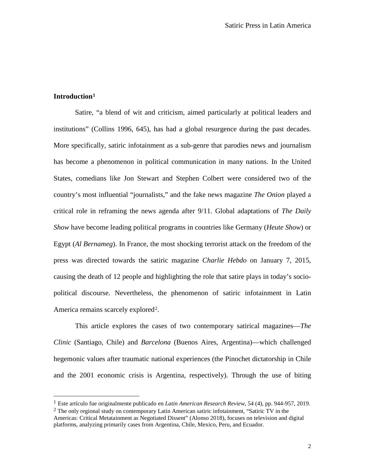# **Introduction[1](#page-1-0)**

 $\overline{a}$ 

Satire, "a blend of wit and criticism, aimed particularly at political leaders and institutions" (Collins 1996, 645), has had a global resurgence during the past decades. More specifically, satiric infotainment as a sub-genre that parodies news and journalism has become a phenomenon in political communication in many nations. In the United States, comedians like Jon Stewart and Stephen Colbert were considered two of the country's most influential "journalists," and the fake news magazine *The Onion* played a critical role in reframing the news agenda after 9/11. Global adaptations of *The Daily Show* have become leading political programs in countries like Germany (*Heute Show*) or Egypt (*Al Bernameg*). In France, the most shocking terrorist attack on the freedom of the press was directed towards the satiric magazine *Charlie Hebdo* on January 7, 2015, causing the death of 12 people and highlighting the role that satire plays in today's sociopolitical discourse. Nevertheless, the phenomenon of satiric infotainment in Latin America remains scarcely explored<sup>[2](#page-1-1)</sup>.

This article explores the cases of two contemporary satirical magazines—*The Clinic* (Santiago, Chile) and *Barcelona* (Buenos Aires, Argentina)—which challenged hegemonic values after traumatic national experiences (the Pinochet dictatorship in Chile and the 2001 economic crisis is Argentina, respectively). Through the use of biting

<span id="page-1-0"></span><sup>1</sup> Este artículo fue originalmente publicado en *Latin American Research Review*, 54 (4), pp. 944-957, 2019.

<span id="page-1-1"></span><sup>2</sup> The only regional study on contemporary Latin American satiric infotainment, "Satiric TV in the Americas: Critical Metatainment as Negotiated Dissent" (Alonso 2018), focuses on television and digital platforms, analyzing primarily cases from Argentina, Chile, Mexico, Peru, and Ecuador.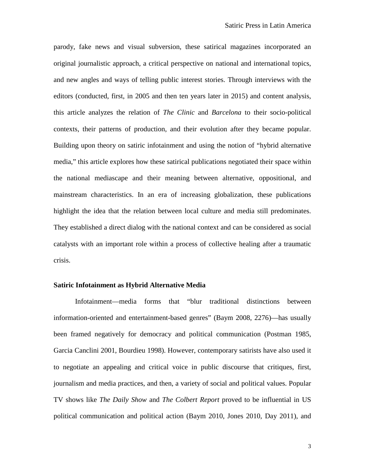parody, fake news and visual subversion, these satirical magazines incorporated an original journalistic approach, a critical perspective on national and international topics, and new angles and ways of telling public interest stories. Through interviews with the editors (conducted, first, in 2005 and then ten years later in 2015) and content analysis, this article analyzes the relation of *The Clinic* and *Barcelona* to their socio-political contexts, their patterns of production, and their evolution after they became popular. Building upon theory on satiric infotainment and using the notion of "hybrid alternative media," this article explores how these satirical publications negotiated their space within the national mediascape and their meaning between alternative, oppositional, and mainstream characteristics. In an era of increasing globalization, these publications highlight the idea that the relation between local culture and media still predominates. They established a direct dialog with the national context and can be considered as social catalysts with an important role within a process of collective healing after a traumatic crisis.

## **Satiric Infotainment as Hybrid Alternative Media**

Infotainment—media forms that "blur traditional distinctions between information-oriented and entertainment-based genres" (Baym 2008, 2276)—has usually been framed negatively for democracy and political communication (Postman 1985, Garcia Canclini 2001, Bourdieu 1998). However, contemporary satirists have also used it to negotiate an appealing and critical voice in public discourse that critiques, first, journalism and media practices, and then, a variety of social and political values. Popular TV shows like *The Daily Show* and *The Colbert Report* proved to be influential in US political communication and political action (Baym 2010, Jones 2010, Day 2011), and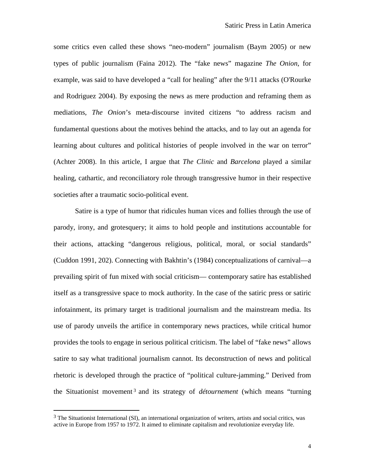some critics even called these shows "neo-modern" journalism (Baym 2005) or new types of public journalism (Faina 2012). The "fake news" magazine *The Onion*, for example, was said to have developed a "call for healing" after the 9/11 attacks (O'Rourke and Rodriguez 2004). By exposing the news as mere production and reframing them as mediations, *The Onion*'s meta-discourse invited citizens "to address racism and fundamental questions about the motives behind the attacks, and to lay out an agenda for learning about cultures and political histories of people involved in the war on terror" (Achter 2008). In this article, I argue that *The Clinic* and *Barcelona* played a similar healing, cathartic, and reconciliatory role through transgressive humor in their respective societies after a traumatic socio-political event.

Satire is a type of humor that ridicules human vices and follies through the use of parody, irony, and grotesquery; it aims to hold people and institutions accountable for their actions, attacking "dangerous religious, political, moral, or social standards" (Cuddon 1991, 202). Connecting with Bakhtin's (1984) conceptualizations of carnival—a prevailing spirit of fun mixed with social criticism— contemporary satire has established itself as a transgressive space to mock authority. In the case of the satiric press or satiric infotainment, its primary target is traditional journalism and the mainstream media. Its use of parody unveils the artifice in contemporary news practices, while critical humor provides the tools to engage in serious political criticism. The label of "fake news" allows satire to say what traditional journalism cannot. Its deconstruction of news and political rhetoric is developed through the practice of "political culture-jamming." Derived from the Situationist movement [3](#page-3-0) and its strategy of *détournement* (which means "turning

<span id="page-3-0"></span> $3$  The Situationist International (SI), an international organization of writers, artists and social critics, was active in Europe from 1957 to 1972. It aimed to eliminate capitalism and revolutionize everyday life.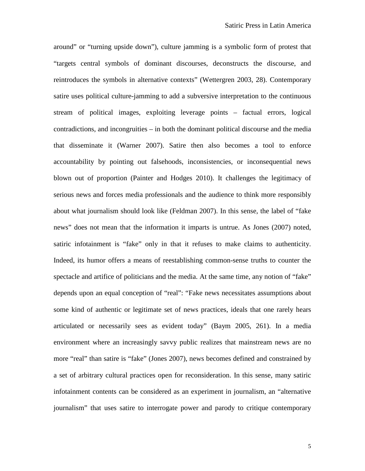around" or "turning upside down"), culture jamming is a symbolic form of protest that "targets central symbols of dominant discourses, deconstructs the discourse, and reintroduces the symbols in alternative contexts" (Wettergren 2003, 28). Contemporary satire uses political culture-jamming to add a subversive interpretation to the continuous stream of political images, exploiting leverage points – factual errors, logical contradictions, and incongruities – in both the dominant political discourse and the media that disseminate it (Warner 2007). Satire then also becomes a tool to enforce accountability by pointing out falsehoods, inconsistencies, or inconsequential news blown out of proportion (Painter and Hodges 2010). It challenges the legitimacy of serious news and forces media professionals and the audience to think more responsibly about what journalism should look like (Feldman 2007). In this sense, the label of "fake news" does not mean that the information it imparts is untrue. As Jones (2007) noted, satiric infotainment is "fake" only in that it refuses to make claims to authenticity. Indeed, its humor offers a means of reestablishing common-sense truths to counter the spectacle and artifice of politicians and the media. At the same time, any notion of "fake" depends upon an equal conception of "real": "Fake news necessitates assumptions about some kind of authentic or legitimate set of news practices, ideals that one rarely hears articulated or necessarily sees as evident today" (Baym 2005, 261). In a media environment where an increasingly savvy public realizes that mainstream news are no more "real" than satire is "fake" (Jones 2007), news becomes defined and constrained by a set of arbitrary cultural practices open for reconsideration. In this sense, many satiric infotainment contents can be considered as an experiment in journalism, an "alternative journalism" that uses satire to interrogate power and parody to critique contemporary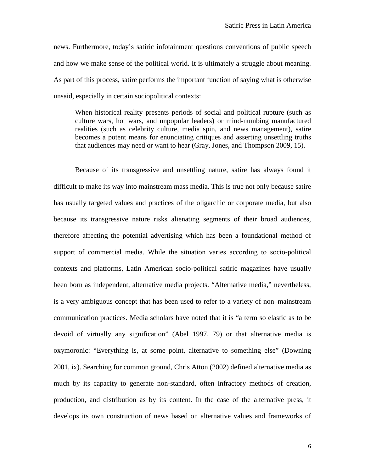news. Furthermore, today's satiric infotainment questions conventions of public speech and how we make sense of the political world. It is ultimately a struggle about meaning. As part of this process, satire performs the important function of saying what is otherwise unsaid, especially in certain sociopolitical contexts:

When historical reality presents periods of social and political rupture (such as culture wars, hot wars, and unpopular leaders) or mind-numbing manufactured realities (such as celebrity culture, media spin, and news management), satire becomes a potent means for enunciating critiques and asserting unsettling truths that audiences may need or want to hear (Gray, Jones, and Thompson 2009, 15).

Because of its transgressive and unsettling nature, satire has always found it difficult to make its way into mainstream mass media. This is true not only because satire has usually targeted values and practices of the oligarchic or corporate media, but also because its transgressive nature risks alienating segments of their broad audiences, therefore affecting the potential advertising which has been a foundational method of support of commercial media. While the situation varies according to socio-political contexts and platforms, Latin American socio-political satiric magazines have usually been born as independent, alternative media projects. "Alternative media," nevertheless, is a very ambiguous concept that has been used to refer to a variety of non–mainstream communication practices. Media scholars have noted that it is "a term so elastic as to be devoid of virtually any signification" (Abel 1997, 79) or that alternative media is oxymoronic: "Everything is, at some point, alternative to something else" (Downing 2001, ix). Searching for common ground, Chris Atton (2002) defined alternative media as much by its capacity to generate non-standard, often infractory methods of creation, production, and distribution as by its content. In the case of the alternative press, it develops its own construction of news based on alternative values and frameworks of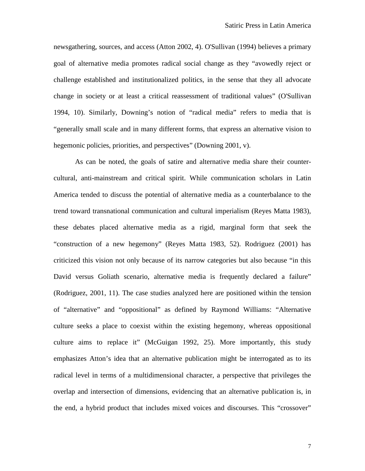newsgathering, sources, and access (Atton 2002, 4). O'Sullivan (1994) believes a primary goal of alternative media promotes radical social change as they "avowedly reject or challenge established and institutionalized politics, in the sense that they all advocate change in society or at least a critical reassessment of traditional values" (O'Sullivan 1994, 10). Similarly, Downing's notion of "radical media" refers to media that is "generally small scale and in many different forms, that express an alternative vision to hegemonic policies, priorities, and perspectives" (Downing 2001, v).

As can be noted, the goals of satire and alternative media share their countercultural, anti-mainstream and critical spirit. While communication scholars in Latin America tended to discuss the potential of alternative media as a counterbalance to the trend toward transnational communication and cultural imperialism (Reyes Matta 1983), these debates placed alternative media as a rigid, marginal form that seek the "construction of a new hegemony" (Reyes Matta 1983, 52). Rodriguez (2001) has criticized this vision not only because of its narrow categories but also because "in this David versus Goliath scenario, alternative media is frequently declared a failure" (Rodriguez, 2001, 11). The case studies analyzed here are positioned within the tension of "alternative" and "oppositional" as defined by Raymond Williams: "Alternative culture seeks a place to coexist within the existing hegemony, whereas oppositional culture aims to replace it" (McGuigan 1992, 25). More importantly, this study emphasizes Atton's idea that an alternative publication might be interrogated as to its radical level in terms of a multidimensional character, a perspective that privileges the overlap and intersection of dimensions, evidencing that an alternative publication is, in the end, a hybrid product that includes mixed voices and discourses. This "crossover"

7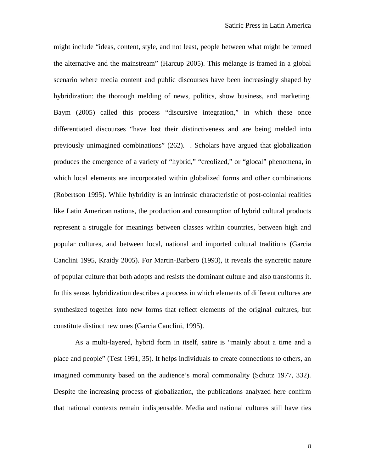might include "ideas, content, style, and not least, people between what might be termed the alternative and the mainstream" (Harcup 2005). This mélange is framed in a global scenario where media content and public discourses have been increasingly shaped by hybridization: the thorough melding of news, politics, show business, and marketing. Baym (2005) called this process "discursive integration," in which these once differentiated discourses "have lost their distinctiveness and are being melded into previously unimagined combinations" (262). . Scholars have argued that globalization produces the emergence of a variety of "hybrid," "creolized," or "glocal" phenomena, in which local elements are incorporated within globalized forms and other combinations (Robertson 1995). While hybridity is an intrinsic characteristic of post-colonial realities like Latin American nations, the production and consumption of hybrid cultural products represent a struggle for meanings between classes within countries, between high and popular cultures, and between local, national and imported cultural traditions (Garcia Canclini 1995, Kraidy 2005). For Martin-Barbero (1993), it reveals the syncretic nature of popular culture that both adopts and resists the dominant culture and also transforms it. In this sense, hybridization describes a process in which elements of different cultures are synthesized together into new forms that reflect elements of the original cultures, but constitute distinct new ones (Garcia Canclini, 1995).

As a multi-layered, hybrid form in itself, satire is "mainly about a time and a place and people" (Test 1991, 35). It helps individuals to create connections to others, an imagined community based on the audience's moral commonality (Schutz 1977, 332). Despite the increasing process of globalization, the publications analyzed here confirm that national contexts remain indispensable. Media and national cultures still have ties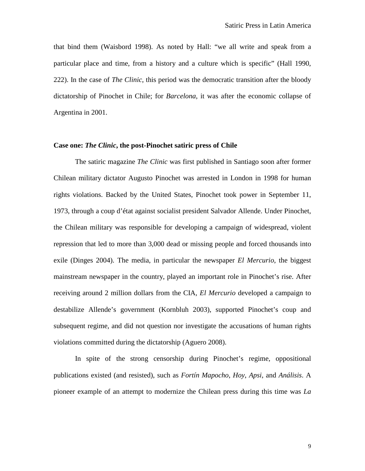that bind them (Waisbord 1998). As noted by Hall: "we all write and speak from a particular place and time, from a history and a culture which is specific" (Hall 1990, 222). In the case of *The Clinic*, this period was the democratic transition after the bloody dictatorship of Pinochet in Chile; for *Barcelona*, it was after the economic collapse of Argentina in 2001.

## **Case one:** *The Clinic***, the post-Pinochet satiric press of Chile**

The satiric magazine *The Clinic* was first published in Santiago soon after former Chilean military dictator Augusto Pinochet was arrested in London in 1998 for human rights violations. Backed by the United States, Pinochet took power in September 11, 1973, through a coup d'état against socialist president Salvador Allende. Under Pinochet, the Chilean military was responsible for developing a campaign of widespread, violent repression that led to more than 3,000 dead or missing people and forced thousands into exile (Dinges 2004). The media, in particular the newspaper *El Mercurio*, the biggest mainstream newspaper in the country, played an important role in Pinochet's rise. After receiving around 2 million dollars from the CIA, *El Mercurio* developed a campaign to destabilize Allende's government (Kornbluh 2003), supported Pinochet's coup and subsequent regime, and did not question nor investigate the accusations of human rights violations committed during the dictatorship (Aguero 2008).

In spite of the strong censorship during Pinochet's regime, oppositional publications existed (and resisted), such as *Fortín Mapocho*, *Hoy*, *Apsi*, and *Análisis*. A pioneer example of an attempt to modernize the Chilean press during this time was *La*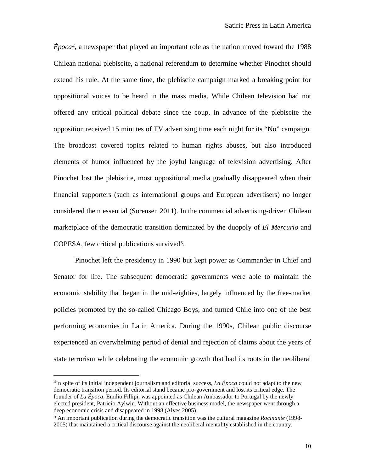*Época[4](#page-9-0)*, a newspaper that played an important role as the nation moved toward the 1988 Chilean national plebiscite, a national referendum to determine whether Pinochet should extend his rule. At the same time, the plebiscite campaign marked a breaking point for oppositional voices to be heard in the mass media. While Chilean television had not offered any critical political debate since the coup, in advance of the plebiscite the opposition received 15 minutes of TV advertising time each night for its "No" campaign. The broadcast covered topics related to human rights abuses, but also introduced elements of humor influenced by the joyful language of television advertising. After Pinochet lost the plebiscite, most oppositional media gradually disappeared when their financial supporters (such as international groups and European advertisers) no longer considered them essential (Sorensen 2011). In the commercial advertising-driven Chilean marketplace of the democratic transition dominated by the duopoly of *El Mercurio* and COPESA, few critical publications survived<sup>5</sup>.

Pinochet left the presidency in 1990 but kept power as Commander in Chief and Senator for life. The subsequent democratic governments were able to maintain the economic stability that began in the mid-eighties, largely influenced by the free-market policies promoted by the so-called Chicago Boys, and turned Chile into one of the best performing economies in Latin America. During the 1990s, Chilean public discourse experienced an overwhelming period of denial and rejection of claims about the years of state terrorism while celebrating the economic growth that had its roots in the neoliberal

<span id="page-9-0"></span><sup>4</sup>In spite of its initial independent journalism and editorial success, *La Época* could not adapt to the new democratic transition period. Its editorial stand became pro-government and lost its critical edge. The founder of *La Época*, Emilio Fillipi, was appointed as Chilean Ambassador to Portugal by the newly elected president, Patricio Aylwin. Without an effective business model, the newspaper went through a deep economic crisis and disappeared in 1998 (Alves 2005).

<span id="page-9-1"></span><sup>5</sup> An important publication during the democratic transition was the cultural magazine *Rocinante* (1998- 2005) that maintained a critical discourse against the neoliberal mentality established in the country.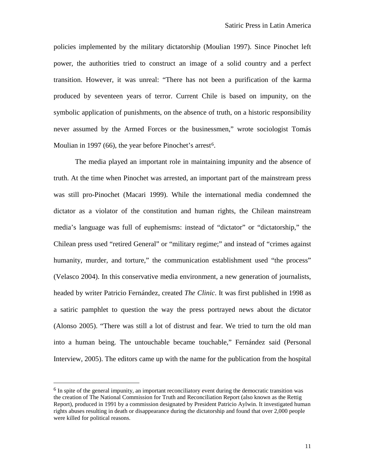policies implemented by the military dictatorship (Moulian 1997). Since Pinochet left power, the authorities tried to construct an image of a solid country and a perfect transition. However, it was unreal: "There has not been a purification of the karma produced by seventeen years of terror. Current Chile is based on impunity, on the symbolic application of punishments, on the absence of truth, on a historic responsibility never assumed by the Armed Forces or the businessmen," wrote sociologist Tomás Moulian in 1997 (66), the year before Pinochet's arrest<sup>6</sup>.

The media played an important role in maintaining impunity and the absence of truth. At the time when Pinochet was arrested, an important part of the mainstream press was still pro-Pinochet (Macari 1999). While the international media condemned the dictator as a violator of the constitution and human rights, the Chilean mainstream media's language was full of euphemisms: instead of "dictator" or "dictatorship," the Chilean press used "retired General" or "military regime;" and instead of "crimes against humanity, murder, and torture," the communication establishment used "the process" (Velasco 2004). In this conservative media environment, a new generation of journalists, headed by writer Patricio Fernández, created *The Clinic*. It was first published in 1998 as a satiric pamphlet to question the way the press portrayed news about the dictator (Alonso 2005). "There was still a lot of distrust and fear. We tried to turn the old man into a human being. The untouchable became touchable," Fernández said (Personal Interview, 2005). The editors came up with the name for the publication from the hospital

<span id="page-10-0"></span> $6$  In spite of the general impunity, an important reconciliatory event during the democratic transition was the creation of The National Commission for Truth and Reconciliation Report (also known as the Rettig Report), produced in 1991 by a commission designated by President Patricio Aylwin. It investigated human rights abuses resulting in death or disappearance during the dictatorship and found that over 2,000 people were killed for political reasons.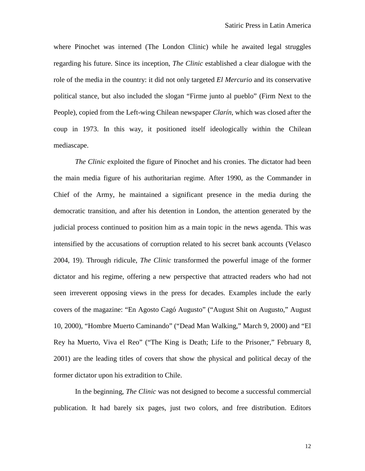where Pinochet was interned (The London Clinic) while he awaited legal struggles regarding his future. Since its inception, *The Clinic* established a clear dialogue with the role of the media in the country: it did not only targeted *El Mercurio* and its conservative political stance, but also included the slogan "Firme junto al pueblo" (Firm Next to the People), copied from the Left-wing Chilean newspaper *Clarín*, which was closed after the coup in 1973. In this way, it positioned itself ideologically within the Chilean mediascape.

*The Clinic* exploited the figure of Pinochet and his cronies. The dictator had been the main media figure of his authoritarian regime. After 1990, as the Commander in Chief of the Army, he maintained a significant presence in the media during the democratic transition, and after his detention in London, the attention generated by the judicial process continued to position him as a main topic in the news agenda. This was intensified by the accusations of corruption related to his secret bank accounts (Velasco 2004, 19). Through ridicule, *The Clinic* transformed the powerful image of the former dictator and his regime, offering a new perspective that attracted readers who had not seen irreverent opposing views in the press for decades. Examples include the early covers of the magazine: "En Agosto Cagó Augusto" ("August Shit on Augusto," August 10, 2000), "Hombre Muerto Caminando" ("Dead Man Walking," March 9, 2000) and "El Rey ha Muerto, Viva el Reo" ("The King is Death; Life to the Prisoner," February 8, 2001) are the leading titles of covers that show the physical and political decay of the former dictator upon his extradition to Chile.

In the beginning, *The Clinic* was not designed to become a successful commercial publication. It had barely six pages, just two colors, and free distribution. Editors

12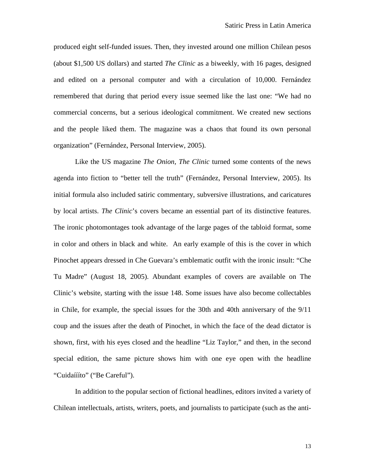produced eight self-funded issues. Then, they invested around one million Chilean pesos (about \$1,500 US dollars) and started *The Clinic* as a biweekly, with 16 pages, designed and edited on a personal computer and with a circulation of 10,000. Fernández remembered that during that period every issue seemed like the last one: "We had no commercial concerns, but a serious ideological commitment. We created new sections and the people liked them. The magazine was a chaos that found its own personal organization" (Fernández, Personal Interview, 2005).

Like the US magazine *The Onion*, *The Clinic* turned some contents of the news agenda into fiction to "better tell the truth" (Fernández, Personal Interview, 2005). Its initial formula also included satiric commentary, subversive illustrations, and caricatures by local artists. *The Clinic*'s covers became an essential part of its distinctive features. The ironic photomontages took advantage of the large pages of the tabloid format, some in color and others in black and white. An early example of this is the cover in which Pinochet appears dressed in Che Guevara's emblematic outfit with the ironic insult: "Che Tu Madre" (August 18, 2005). Abundant examples of covers are available on The Clinic's website, starting with the issue 148. Some issues have also become collectables in Chile, for example, the special issues for the 30th and 40th anniversary of the 9/11 coup and the issues after the death of Pinochet, in which the face of the dead dictator is shown, first, with his eyes closed and the headline "Liz Taylor," and then, in the second special edition, the same picture shows him with one eye open with the headline "Cuidaíííto" ("Be Careful").

In addition to the popular section of fictional headlines, editors invited a variety of Chilean intellectuals, artists, writers, poets, and journalists to participate (such as the anti-

13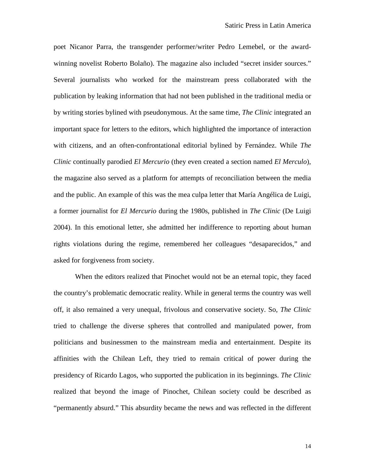poet Nicanor Parra, the transgender performer/writer Pedro Lemebel, or the awardwinning novelist Roberto Bolaño). The magazine also included "secret insider sources." Several journalists who worked for the mainstream press collaborated with the publication by leaking information that had not been published in the traditional media or by writing stories bylined with pseudonymous. At the same time, *The Clinic* integrated an important space for letters to the editors, which highlighted the importance of interaction with citizens, and an often-confrontational editorial bylined by Fernández. While *The Clinic* continually parodied *El Mercurio* (they even created a section named *El Merculo*), the magazine also served as a platform for attempts of reconciliation between the media and the public. An example of this was the mea culpa letter that María Angélica de Luigi, a former journalist for *El Mercurio* during the 1980s, published in *The Clinic* (De Luigi 2004). In this emotional letter, she admitted her indifference to reporting about human rights violations during the regime, remembered her colleagues "desaparecidos," and asked for forgiveness from society.

When the editors realized that Pinochet would not be an eternal topic, they faced the country's problematic democratic reality. While in general terms the country was well off, it also remained a very unequal, frivolous and conservative society. So, *The Clinic* tried to challenge the diverse spheres that controlled and manipulated power, from politicians and businessmen to the mainstream media and entertainment. Despite its affinities with the Chilean Left, they tried to remain critical of power during the presidency of Ricardo Lagos, who supported the publication in its beginnings. *The Clinic* realized that beyond the image of Pinochet, Chilean society could be described as "permanently absurd." This absurdity became the news and was reflected in the different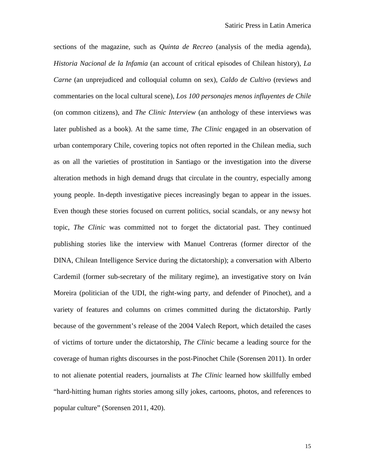sections of the magazine, such as *Quinta de Recreo* (analysis of the media agenda), *Historia Nacional de la Infamia* (an account of critical episodes of Chilean history), *La Carne* (an unprejudiced and colloquial column on sex), *Caldo de Cultivo* (reviews and commentaries on the local cultural scene), *Los 100 personajes menos influyentes de Chile* (on common citizens), and *The Clinic Interview* (an anthology of these interviews was later published as a book). At the same time*, The Clinic* engaged in an observation of urban contemporary Chile, covering topics not often reported in the Chilean media, such as on all the varieties of prostitution in Santiago or the investigation into the diverse alteration methods in high demand drugs that circulate in the country, especially among young people. In-depth investigative pieces increasingly began to appear in the issues. Even though these stories focused on current politics, social scandals, or any newsy hot topic, *The Clinic* was committed not to forget the dictatorial past. They continued publishing stories like the interview with Manuel Contreras (former director of the DINA, Chilean Intelligence Service during the dictatorship); a conversation with Alberto Cardemil (former sub-secretary of the military regime), an investigative story on Iván Moreira (politician of the UDI, the right-wing party, and defender of Pinochet), and a variety of features and columns on crimes committed during the dictatorship. Partly because of the government's release of the 2004 Valech Report, which detailed the cases of victims of torture under the dictatorship, *The Clinic* became a leading source for the coverage of human rights discourses in the post-Pinochet Chile (Sorensen 2011). In order to not alienate potential readers, journalists at *The Clinic* learned how skillfully embed "hard-hitting human rights stories among silly jokes, cartoons, photos, and references to popular culture" (Sorensen 2011, 420).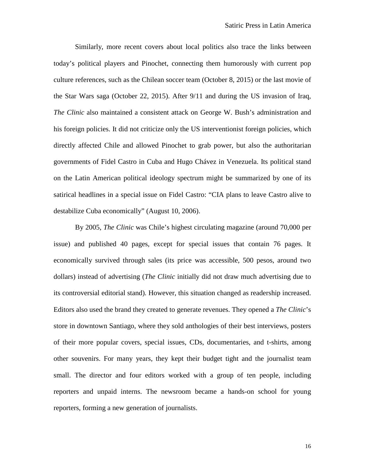Similarly, more recent covers about local politics also trace the links between today's political players and Pinochet, connecting them humorously with current pop culture references, such as the Chilean soccer team (October 8, 2015) or the last movie of the Star Wars saga (October 22, 2015). After 9/11 and during the US invasion of Iraq, *The Clinic* also maintained a consistent attack on George W. Bush's administration and his foreign policies. It did not criticize only the US interventionist foreign policies, which directly affected Chile and allowed Pinochet to grab power, but also the authoritarian governments of Fidel Castro in Cuba and Hugo Chávez in Venezuela. Its political stand on the Latin American political ideology spectrum might be summarized by one of its satirical headlines in a special issue on Fidel Castro: "CIA plans to leave Castro alive to destabilize Cuba economically" (August 10, 2006).

By 2005, *The Clinic* was Chile's highest circulating magazine (around 70,000 per issue) and published 40 pages, except for special issues that contain 76 pages. It economically survived through sales (its price was accessible, 500 pesos, around two dollars) instead of advertising (*The Clinic* initially did not draw much advertising due to its controversial editorial stand). However, this situation changed as readership increased. Editors also used the brand they created to generate revenues. They opened a *The Clinic*'s store in downtown Santiago, where they sold anthologies of their best interviews, posters of their more popular covers, special issues, CDs, documentaries, and t-shirts, among other souvenirs. For many years, they kept their budget tight and the journalist team small. The director and four editors worked with a group of ten people, including reporters and unpaid interns. The newsroom became a hands-on school for young reporters, forming a new generation of journalists.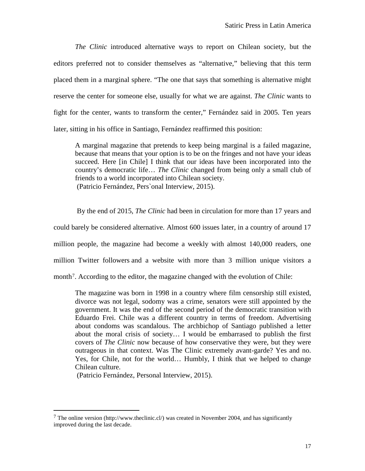*The Clinic* introduced alternative ways to report on Chilean society, but the editors preferred not to consider themselves as "alternative," believing that this term placed them in a marginal sphere. "The one that says that something is alternative might reserve the center for someone else, usually for what we are against. *The Clinic* wants to fight for the center, wants to transform the center," Fernández said in 2005. Ten years later, sitting in his office in Santiago, Fernández reaffirmed this position:

A marginal magazine that pretends to keep being marginal is a failed magazine, because that means that your option is to be on the fringes and not have your ideas succeed. Here [in Chile] I think that our ideas have been incorporated into the country's democratic life… *The Clinic* changed from being only a small club of friends to a world incorporated into Chilean society. (Patricio Fernández, Pers`onal Interview, 2015).

By the end of 2015, *The Clinic* had been in circulation for more than 17 years and could barely be considered alternative. Almost 600 issues later, in a country of around 17 million people, the magazine had become a weekly with almost 140,000 readers, one million Twitter followers and a website with more than 3 million unique visitors a month<sup>[7](#page-16-0)</sup>. According to the editor, the magazine changed with the evolution of Chile:

The magazine was born in 1998 in a country where film censorship still existed, divorce was not legal, sodomy was a crime, senators were still appointed by the government. It was the end of the second period of the democratic transition with Eduardo Frei. Chile was a different country in terms of freedom. Advertising about condoms was scandalous. The archbichop of Santiago published a letter about the moral crisis of society… I would be embarrased to publish the first covers of *The Clinic* now because of how conservative they were, but they were outrageous in that context. Was The Clinic extremely avant-garde? Yes and no. Yes, for Chile, not for the world… Humbly, I think that we helped to change Chilean culture.

(Patricio Fernández, Personal Interview, 2015).

<span id="page-16-0"></span><sup>&</sup>lt;sup>7</sup> The online version (http://www.theclinic.cl/) was created in November 2004, and has significantly improved during the last decade.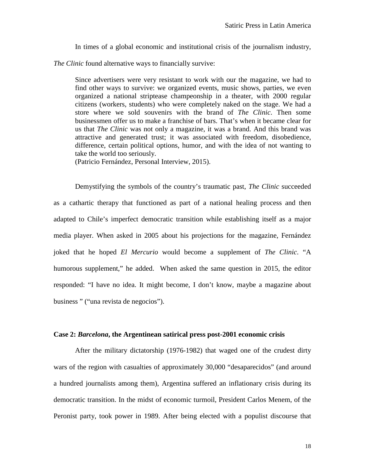In times of a global economic and institutional crisis of the journalism industry,

*The Clinic* found alternative ways to financially survive:

Since advertisers were very resistant to work with our the magazine, we had to find other ways to survive: we organized events, music shows, parties, we even organized a national striptease champeonship in a theater, with 2000 regular citizens (workers, students) who were completely naked on the stage. We had a store where we sold souvenirs with the brand of *The Clinic*. Then some businessmen offer us to make a franchise of bars. That's when it became clear for us that *The Clinic* was not only a magazine, it was a brand. And this brand was attractive and generated trust; it was associated with freedom, disobedience, difference, certain political options, humor, and with the idea of not wanting to take the world too seriously.

(Patricio Fernández, Personal Interview, 2015).

Demystifying the symbols of the country's traumatic past, *The Clinic* succeeded as a cathartic therapy that functioned as part of a national healing process and then adapted to Chile's imperfect democratic transition while establishing itself as a major media player. When asked in 2005 about his projections for the magazine, Fernández joked that he hoped *El Mercurio* would become a supplement of *The Clinic*. "A humorous supplement," he added. When asked the same question in 2015, the editor responded: "I have no idea. It might become, I don't know, maybe a magazine about business " ("una revista de negocios").

#### **Case 2:** *Barcelona***, the Argentinean satirical press post-2001 economic crisis**

After the military dictatorship (1976-1982) that waged one of the crudest dirty wars of the region with casualties of approximately 30,000 "desaparecidos" (and around a hundred journalists among them), Argentina suffered an inflationary crisis during its democratic transition. In the midst of economic turmoil, President Carlos Menem, of the Peronist party, took power in 1989. After being elected with a populist discourse that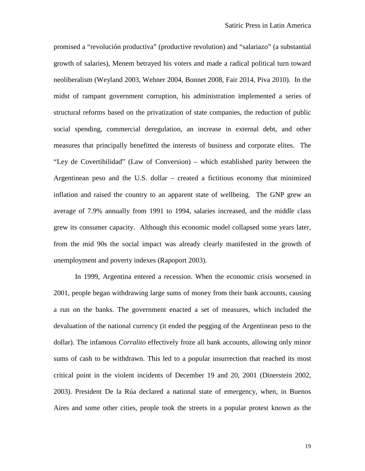promised a "revolución productiva" (productive revolution) and "salariazo" (a substantial growth of salaries), Menem betrayed his voters and made a radical political turn toward neoliberalism (Weyland 2003, Wehner 2004, Bonnet 2008, Fair 2014, Piva 2010). In the midst of rampant government corruption, his administration implemented a series of structural reforms based on the privatization of state companies, the reduction of public social spending, commercial deregulation, an increase in external debt, and other measures that principally benefitted the interests of business and corporate elites. The "Ley de Covertibilidad" (Law of Conversion) – which established parity between the Argentinean peso and the U.S. dollar – created a fictitious economy that minimized inflation and raised the country to an apparent state of wellbeing. The GNP grew an average of 7.9% annually from 1991 to 1994, salaries increased, and the middle class grew its consumer capacity. Although this economic model collapsed some years later, from the mid 90s the social impact was already clearly manifested in the growth of unemployment and poverty indexes (Rapoport 2003).

In 1999, Argentina entered a recession. When the economic crisis worsened in 2001, people began withdrawing large sums of money from their bank accounts, causing a run on the banks. The government enacted a set of measures, which included the devaluation of the national currency (it ended the pegging of the Argentinean peso to the dollar). The infamous *Corralito* effectively froze all bank accounts, allowing only minor sums of cash to be withdrawn. This led to a popular insurrection that reached its most critical point in the violent incidents of December 19 and 20, 2001 (Dinerstein 2002, 2003). President De la Rúa declared a national state of emergency, when, in Buenos Aires and some other cities, people took the streets in a popular protest known as the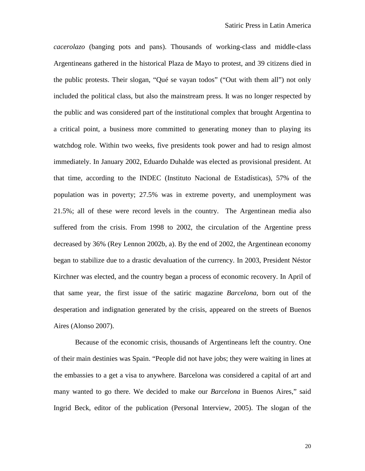*cacerolazo* (banging pots and pans). Thousands of working-class and middle-class Argentineans gathered in the historical Plaza de Mayo to protest, and 39 citizens died in the public protests. Their slogan, "Qué se vayan todos" ("Out with them all") not only included the political class, but also the mainstream press. It was no longer respected by the public and was considered part of the institutional complex that brought Argentina to a critical point, a business more committed to generating money than to playing its watchdog role. Within two weeks, five presidents took power and had to resign almost immediately. In January 2002, Eduardo Duhalde was elected as provisional president. At that time, according to the INDEC (Instituto Nacional de Estadísticas), 57% of the population was in poverty; 27.5% was in extreme poverty, and unemployment was 21.5%; all of these were record levels in the country. The Argentinean media also suffered from the crisis. From 1998 to 2002, the circulation of the Argentine press decreased by 36% (Rey Lennon 2002b, a). By the end of 2002, the Argentinean economy began to stabilize due to a drastic devaluation of the currency. In 2003, President Néstor Kirchner was elected, and the country began a process of economic recovery. In April of that same year, the first issue of the satiric magazine *Barcelona*, born out of the desperation and indignation generated by the crisis, appeared on the streets of Buenos Aires (Alonso 2007).

Because of the economic crisis, thousands of Argentineans left the country. One of their main destinies was Spain. "People did not have jobs; they were waiting in lines at the embassies to a get a visa to anywhere. Barcelona was considered a capital of art and many wanted to go there. We decided to make our *Barcelona* in Buenos Aires," said Ingrid Beck, editor of the publication (Personal Interview, 2005). The slogan of the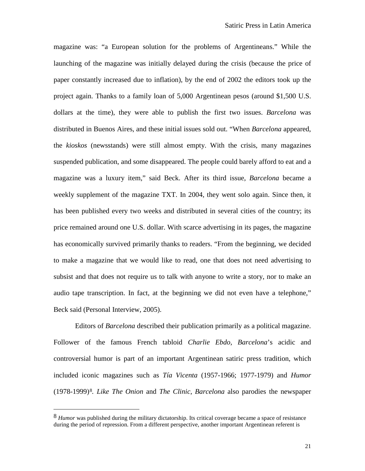magazine was: "a European solution for the problems of Argentineans." While the launching of the magazine was initially delayed during the crisis (because the price of paper constantly increased due to inflation), by the end of 2002 the editors took up the project again. Thanks to a family loan of 5,000 Argentinean pesos (around \$1,500 U.S. dollars at the time), they were able to publish the first two issues. *Barcelona* was distributed in Buenos Aires, and these initial issues sold out. "When *Barcelona* appeared, the *kioskos* (newsstands) were still almost empty. With the crisis, many magazines suspended publication, and some disappeared. The people could barely afford to eat and a magazine was a luxury item," said Beck. After its third issue, *Barcelona* became a weekly supplement of the magazine TXT. In 2004, they went solo again. Since then, it has been published every two weeks and distributed in several cities of the country; its price remained around one U.S. dollar. With scarce advertising in its pages, the magazine has economically survived primarily thanks to readers. "From the beginning, we decided to make a magazine that we would like to read, one that does not need advertising to subsist and that does not require us to talk with anyone to write a story, nor to make an audio tape transcription. In fact, at the beginning we did not even have a telephone," Beck said (Personal Interview, 2005).

Editors of *Barcelona* described their publication primarily as a political magazine. Follower of the famous French tabloid *Charlie Ebdo*, *Barcelona*'s acidic and controversial humor is part of an important Argentinean satiric press tradition, which included iconic magazines such as *Tía Vicenta* (1957-1966; 1977-1979) and *Humor* (1978-1999)[8](#page-20-0)*. Like The Onion* and *The Clinic*, *Barcelona* also parodies the newspaper

<span id="page-20-0"></span><sup>8</sup> *Humor* was published during the military dictatorship. Its critical coverage became a space of resistance during the period of repression. From a different perspective, another important Argentinean referent is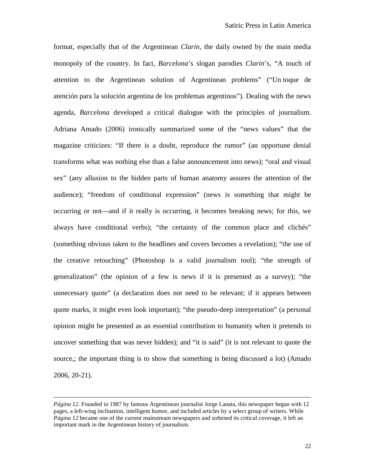format, especially that of the Argentinean *Clarín*, the daily owned by the main media monopoly of the country. In fact, *Barcelona*'s slogan parodies *Clarin*'s, "A touch of attention to the Argentinean solution of Argentinean problems" ("Un toque de atención para la solución argentina de los problemas argentinos"). Dealing with the news agenda, *Barcelona* developed a critical dialogue with the principles of journalism. Adriana Amado (2006) ironically summarized some of the "news values" that the magazine criticizes: "If there is a doubt, reproduce the rumor" (an opportune denial transforms what was nothing else than a false announcement into news); "oral and visual sex" (any allusion to the hidden parts of human anatomy assures the attention of the audience); "freedom of conditional expression" (news is something that might be occurring or not—and if it really is occurring, it becomes breaking news; for this, we always have conditional verbs); "the certainty of the common place and clichés" (something obvious taken to the headlines and covers becomes a revelation); "the use of the creative retouching" (Photoshop is a valid journalism tool); "the strength of generalization" (the opinion of a few is news if it is presented as a survey); "the unnecessary quote" (a declaration does not need to be relevant; if it appears between quote marks, it might even look important); "the pseudo-deep interpretation" (a personal opinion might be presented as an essential contribution to humanity when it pretends to uncover something that was never hidden); and "it is said" (it is not relevant to quote the source,; the important thing is to show that something is being discussed a lot) (Amado 2006, 20-21).

*Página 12*. Founded in 1987 by famous Argentinean journalist Jorge Lanata, this newspaper began with 12 pages, a left-wing inclination, intelligent humor, and included articles by a select group of writers. While *Página 12* became one of the current mainstream newspapers and softened its critical coverage, it left an important mark in the Argentinean history of journalism.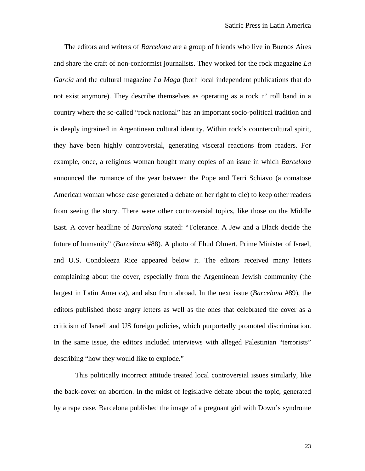The editors and writers of *Barcelona* are a group of friends who live in Buenos Aires and share the craft of non-conformist journalists. They worked for the rock magazine *La García* and the cultural magazine *La Maga* (both local independent publications that do not exist anymore). They describe themselves as operating as a rock n' roll band in a country where the so-called "rock nacional" has an important socio-political tradition and is deeply ingrained in Argentinean cultural identity. Within rock's countercultural spirit, they have been highly controversial, generating visceral reactions from readers. For example, once, a religious woman bought many copies of an issue in which *Barcelona* announced the romance of the year between the Pope and Terri Schiavo (a comatose American woman whose case generated a debate on her right to die) to keep other readers from seeing the story. There were other controversial topics, like those on the Middle East. A cover headline of *Barcelona* stated: "Tolerance. A Jew and a Black decide the future of humanity" (*Barcelona* #88). A photo of Ehud Olmert, Prime Minister of Israel, and U.S. Condoleeza Rice appeared below it. The editors received many letters complaining about the cover, especially from the Argentinean Jewish community (the largest in Latin America), and also from abroad. In the next issue (*Barcelona* #89), the editors published those angry letters as well as the ones that celebrated the cover as a criticism of Israeli and US foreign policies, which purportedly promoted discrimination. In the same issue, the editors included interviews with alleged Palestinian "terrorists" describing "how they would like to explode."

This politically incorrect attitude treated local controversial issues similarly, like the back-cover on abortion. In the midst of legislative debate about the topic, generated by a rape case, Barcelona published the image of a pregnant girl with Down's syndrome

23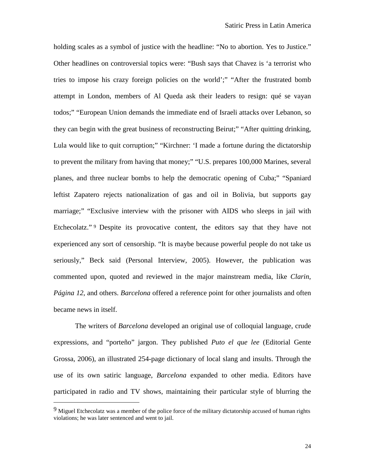holding scales as a symbol of justice with the headline: "No to abortion. Yes to Justice." Other headlines on controversial topics were: "Bush says that Chavez is 'a terrorist who tries to impose his crazy foreign policies on the world';" "After the frustrated bomb attempt in London, members of Al Queda ask their leaders to resign: qué se vayan todos;" "European Union demands the immediate end of Israeli attacks over Lebanon, so they can begin with the great business of reconstructing Beirut;" "After quitting drinking, Lula would like to quit corruption;" "Kirchner: 'I made a fortune during the dictatorship to prevent the military from having that money;" "U.S. prepares 100,000 Marines, several planes, and three nuclear bombs to help the democratic opening of Cuba;" "Spaniard leftist Zapatero rejects nationalization of gas and oil in Bolivia, but supports gay marriage;" "Exclusive interview with the prisoner with AIDS who sleeps in jail with Etchecolatz."<sup>[9](#page-23-0)</sup> Despite its provocative content, the editors say that they have not experienced any sort of censorship. "It is maybe because powerful people do not take us seriously," Beck said (Personal Interview, 2005). However, the publication was commented upon, quoted and reviewed in the major mainstream media, like *Clarin*, *Página 12*, and others. *Barcelona* offered a reference point for other journalists and often became news in itself.

The writers of *Barcelona* developed an original use of colloquial language, crude expressions, and "porteño" jargon. They published *Puto el que lee* (Editorial Gente Grossa, 2006), an illustrated 254-page dictionary of local slang and insults. Through the use of its own satiric language, *Barcelona* expanded to other media. Editors have participated in radio and TV shows, maintaining their particular style of blurring the

<span id="page-23-0"></span> $9$  Miguel Etchecolatz was a member of the police force of the military dictatorship accused of human rights violations; he was later sentenced and went to jail.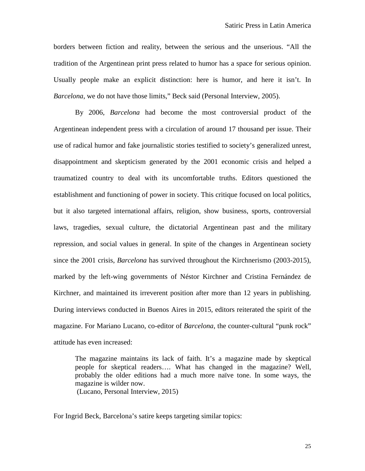borders between fiction and reality, between the serious and the unserious. "All the tradition of the Argentinean print press related to humor has a space for serious opinion. Usually people make an explicit distinction: here is humor, and here it isn't. In *Barcelona*, we do not have those limits," Beck said (Personal Interview, 2005).

By 2006, *Barcelona* had become the most controversial product of the Argentinean independent press with a circulation of around 17 thousand per issue. Their use of radical humor and fake journalistic stories testified to society's generalized unrest, disappointment and skepticism generated by the 2001 economic crisis and helped a traumatized country to deal with its uncomfortable truths. Editors questioned the establishment and functioning of power in society. This critique focused on local politics, but it also targeted international affairs, religion, show business, sports, controversial laws, tragedies, sexual culture, the dictatorial Argentinean past and the military repression, and social values in general. In spite of the changes in Argentinean society since the 2001 crisis, *Barcelona* has survived throughout the Kirchnerismo (2003-2015), marked by the left-wing governments of Néstor Kirchner and Cristina Fernández de Kirchner, and maintained its irreverent position after more than 12 years in publishing. During interviews conducted in Buenos Aires in 2015, editors reiterated the spirit of the magazine. For Mariano Lucano, co-editor of *Barcelona*, the counter-cultural "punk rock" attitude has even increased:

The magazine maintains its lack of faith. It's a magazine made by skeptical people for skeptical readers…. What has changed in the magazine? Well, probably the older editions had a much more naïve tone. In some ways, the magazine is wilder now. (Lucano, Personal Interview, 2015)

For Ingrid Beck, Barcelona's satire keeps targeting similar topics:

25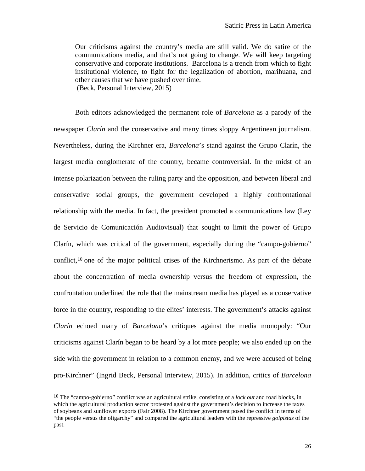Our criticisms against the country's media are still valid. We do satire of the communications media, and that's not going to change. We will keep targeting conservative and corporate institutions. Barcelona is a trench from which to fight institutional violence, to fight for the legalization of abortion, marihuana, and other causes that we have pushed over time. (Beck, Personal Interview, 2015)

Both editors acknowledged the permanent role of *Barcelona* as a parody of the newspaper *Clarín* and the conservative and many times sloppy Argentinean journalism. Nevertheless, during the Kirchner era, *Barcelona*'s stand against the Grupo Clarín, the largest media conglomerate of the country, became controversial. In the midst of an intense polarization between the ruling party and the opposition, and between liberal and conservative social groups, the government developed a highly confrontational relationship with the media. In fact, the president promoted a communications law (Ley de Servicio de Comunicación Audiovisual) that sought to limit the power of Grupo Clarín, which was critical of the government, especially during the "campo-gobierno" conflict,<sup>[10](#page-25-0)</sup> one of the major political crises of the Kirchnerismo. As part of the debate about the concentration of media ownership versus the freedom of expression, the confrontation underlined the role that the mainstream media has played as a conservative force in the country, responding to the elites' interests. The government's attacks against *Clarín* echoed many of *Barcelona*'s critiques against the media monopoly: "Our criticisms against Clarín began to be heard by a lot more people; we also ended up on the side with the government in relation to a common enemy, and we were accused of being pro-Kirchner" (Ingrid Beck, Personal Interview, 2015). In addition, critics of *Barcelona*

<span id="page-25-0"></span><sup>10</sup> The "campo-gobierno" conflict was an agricultural strike, consisting of a *lock out* and road blocks, in which the agricultural production sector protested against the government's decision to increase the taxes of soybeans and sunflower exports (Fair 2008). The Kirchner government posed the conflict in terms of "the people versus the oligarchy" and compared the agricultural leaders with the repressive *golpistas* of the past.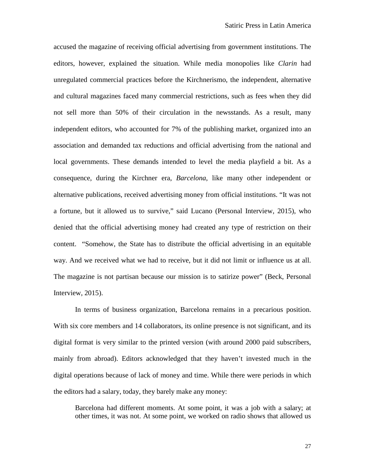accused the magazine of receiving official advertising from government institutions. The editors, however, explained the situation. While media monopolies like *Clarin* had unregulated commercial practices before the Kirchnerismo, the independent, alternative and cultural magazines faced many commercial restrictions, such as fees when they did not sell more than 50% of their circulation in the newsstands. As a result, many independent editors, who accounted for 7% of the publishing market, organized into an association and demanded tax reductions and official advertising from the national and local governments. These demands intended to level the media playfield a bit. As a consequence, during the Kirchner era, *Barcelona*, like many other independent or alternative publications, received advertising money from official institutions. "It was not a fortune, but it allowed us to survive," said Lucano (Personal Interview, 2015), who denied that the official advertising money had created any type of restriction on their content. "Somehow, the State has to distribute the official advertising in an equitable way. And we received what we had to receive, but it did not limit or influence us at all. The magazine is not partisan because our mission is to satirize power" (Beck, Personal Interview, 2015).

In terms of business organization, Barcelona remains in a precarious position. With six core members and 14 collaborators, its online presence is not significant, and its digital format is very similar to the printed version (with around 2000 paid subscribers, mainly from abroad). Editors acknowledged that they haven't invested much in the digital operations because of lack of money and time. While there were periods in which the editors had a salary, today, they barely make any money:

Barcelona had different moments. At some point, it was a job with a salary; at other times, it was not. At some point, we worked on radio shows that allowed us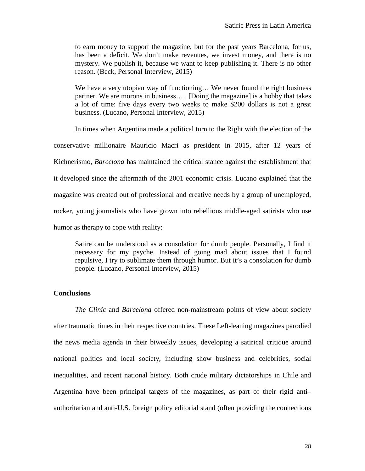to earn money to support the magazine, but for the past years Barcelona, for us, has been a deficit. We don't make revenues, we invest money, and there is no mystery. We publish it, because we want to keep publishing it. There is no other reason. (Beck, Personal Interview, 2015)

We have a very utopian way of functioning... We never found the right business partner. We are morons in business…. [Doing the magazine] is a hobby that takes a lot of time: five days every two weeks to make \$200 dollars is not a great business. (Lucano, Personal Interview, 2015)

In times when Argentina made a political turn to the Right with the election of the

conservative millionaire Mauricio Macri as president in 2015, after 12 years of

Kichnerismo, *Barcelona* has maintained the critical stance against the establishment that

it developed since the aftermath of the 2001 economic crisis. Lucano explained that the

magazine was created out of professional and creative needs by a group of unemployed,

rocker, young journalists who have grown into rebellious middle-aged satirists who use

humor as therapy to cope with reality:

Satire can be understood as a consolation for dumb people. Personally, I find it necessary for my psyche. Instead of going mad about issues that I found repulsive, I try to sublimate them through humor. But it's a consolation for dumb people. (Lucano, Personal Interview, 2015)

## **Conclusions**

*The Clinic* and *Barcelona* offered non-mainstream points of view about society after traumatic times in their respective countries. These Left-leaning magazines parodied the news media agenda in their biweekly issues, developing a satirical critique around national politics and local society, including show business and celebrities, social inequalities, and recent national history. Both crude military dictatorships in Chile and Argentina have been principal targets of the magazines, as part of their rigid anti– authoritarian and anti-U.S. foreign policy editorial stand (often providing the connections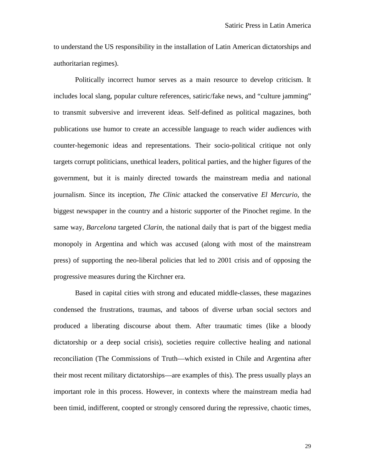to understand the US responsibility in the installation of Latin American dictatorships and authoritarian regimes).

Politically incorrect humor serves as a main resource to develop criticism. It includes local slang, popular culture references, satiric/fake news, and "culture jamming" to transmit subversive and irreverent ideas. Self-defined as political magazines, both publications use humor to create an accessible language to reach wider audiences with counter-hegemonic ideas and representations. Their socio-political critique not only targets corrupt politicians, unethical leaders, political parties, and the higher figures of the government, but it is mainly directed towards the mainstream media and national journalism. Since its inception, *The Clinic* attacked the conservative *El Mercurio*, the biggest newspaper in the country and a historic supporter of the Pinochet regime. In the same way, *Barcelona* targeted *Clarin*, the national daily that is part of the biggest media monopoly in Argentina and which was accused (along with most of the mainstream press) of supporting the neo-liberal policies that led to 2001 crisis and of opposing the progressive measures during the Kirchner era.

Based in capital cities with strong and educated middle-classes, these magazines condensed the frustrations, traumas, and taboos of diverse urban social sectors and produced a liberating discourse about them. After traumatic times (like a bloody dictatorship or a deep social crisis), societies require collective healing and national reconciliation (The Commissions of Truth—which existed in Chile and Argentina after their most recent military dictatorships—are examples of this). The press usually plays an important role in this process. However, in contexts where the mainstream media had been timid, indifferent, coopted or strongly censored during the repressive, chaotic times,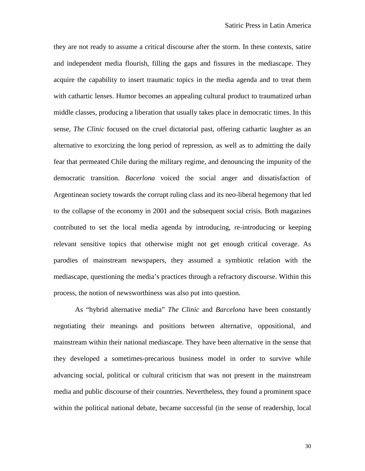they are not ready to assume a critical discourse after the storm. In these contexts, satire and independent media flourish, filling the gaps and fissures in the mediascape. They acquire the capability to insert traumatic topics in the media agenda and to treat them with cathartic lenses. Humor becomes an appealing cultural product to traumatized urban middle classes, producing a liberation that usually takes place in democratic times. In this sense, *The Clinic* focused on the cruel dictatorial past, offering cathartic laughter as an alternative to exorcizing the long period of repression, as well as to admitting the daily fear that permeated Chile during the military regime, and denouncing the impunity of the democratic transition. *Bacerlona* voiced the social anger and dissatisfaction of Argentinean society towards the corrupt ruling class and its neo-liberal hegemony that led to the collapse of the economy in 2001 and the subsequent social crisis. Both magazines contributed to set the local media agenda by introducing, re-introducing or keeping relevant sensitive topics that otherwise might not get enough critical coverage. As parodies of mainstream newspapers, they assumed a symbiotic relation with the mediascape, questioning the media's practices through a refractory discourse. Within this process, the notion of newsworthiness was also put into question.

As "hybrid alternative media" *The Clinic* and *Barcelona* have been constantly negotiating their meanings and positions between alternative, oppositional, and mainstream within their national mediascape. They have been alternative in the sense that they developed a sometimes-precarious business model in order to survive while advancing social, political or cultural criticism that was not present in the mainstream media and public discourse of their countries. Nevertheless, they found a prominent space within the political national debate, became successful (in the sense of readership, local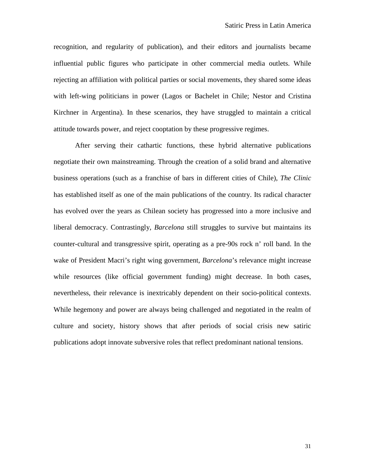recognition, and regularity of publication), and their editors and journalists became influential public figures who participate in other commercial media outlets. While rejecting an affiliation with political parties or social movements, they shared some ideas with left-wing politicians in power (Lagos or Bachelet in Chile; Nestor and Cristina Kirchner in Argentina). In these scenarios, they have struggled to maintain a critical attitude towards power, and reject cooptation by these progressive regimes.

After serving their cathartic functions, these hybrid alternative publications negotiate their own mainstreaming. Through the creation of a solid brand and alternative business operations (such as a franchise of bars in different cities of Chile), *The Clinic* has established itself as one of the main publications of the country. Its radical character has evolved over the years as Chilean society has progressed into a more inclusive and liberal democracy. Contrastingly, *Barcelona* still struggles to survive but maintains its counter-cultural and transgressive spirit, operating as a pre-90s rock n' roll band. In the wake of President Macri's right wing government, *Barcelona*'s relevance might increase while resources (like official government funding) might decrease. In both cases, nevertheless, their relevance is inextricably dependent on their socio-political contexts. While hegemony and power are always being challenged and negotiated in the realm of culture and society, history shows that after periods of social crisis new satiric publications adopt innovate subversive roles that reflect predominant national tensions.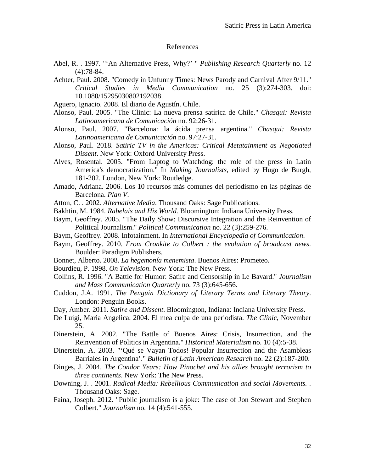#### References

- Abel, R. . 1997. "'An Alternative Press, Why?' " *Publishing Research Quarterly* no. 12 (4):78-84.
- Achter, Paul. 2008. "Comedy in Unfunny Times: News Parody and Carnival After 9/11." *Critical Studies in Media Communication* no. 25 (3):274-303. doi: 10.1080/15295030802192038.
- Aguero, Ignacio. 2008. El diario de Agustín. Chile.
- Alonso, Paul. 2005. "The Clinic: La nueva prensa satírica de Chile." *Chasqui: Revista Latinoamericana de Comunicación* no. 92:26-31.
- Alonso, Paul. 2007. "Barcelona: la ácida prensa argentina." *Chasqui: Revista Latinoamericana de Comunicación* no. 97:27-31.
- Alonso, Paul. 2018. *Satiric TV in the Americas: Critical Metatainment as Negotiated Dissent*. New York: Oxford University Press.
- Alves, Rosental. 2005. "From Laptog to Watchdog: the role of the press in Latin America's democratization." In *Making Journalists*, edited by Hugo de Burgh, 181-202. London, New York: Routledge.
- Amado, Adriana. 2006. Los 10 recursos más comunes del periodismo en las páginas de Barcelona. *Plan V*.
- Atton, C. . 2002. *Alternative Media*. Thousand Oaks: Sage Publications.
- Bakhtin, M. 1984. *Rabelais and His World.* Bloomington: Indiana University Press.
- Baym, Geoffrey. 2005. "The Daily Show: Discursive Integration and the Reinvention of Political Journalism." *Political Communication* no. 22 (3):259-276.
- Baym, Geoffrey. 2008. Infotainment. In *International Encyclopedia of Communication*.
- Baym, Geoffrey. 2010. *From Cronkite to Colbert : the evolution of broadcast news*. Boulder: Paradigm Publishers.
- Bonnet, Alberto. 2008. *La hegemonía menemista*. Buenos Aires: Prometeo.
- Bourdieu, P. 1998. *On Television*. New York: The New Press.
- Collins, R. 1996. "A Battle for Humor: Satire and Censorship in Le Bavard." *Journalism and Mass Communication Quarterly* no. 73 (3):645-656.
- Cuddon, J.A. 1991. *The Penguin Dictionary of Literary Terms and Literary Theory*. London: Penguin Books.
- Day, Amber. 2011. *Satire and Dissent*. Bloomington, Indiana: Indiana University Press.
- De Luigi, Maria Angelica. 2004. El mea culpa de una periodista. *The Clinic*, November 25.
- Dinerstein, A. 2002. "The Battle of Buenos Aires: Crisis, Insurrection, and the Reinvention of Politics in Argentina." *Historical Materialism* no. 10 (4):5-38.
- Dinerstein, A. 2003. "'Qué se Vayan Todos! Popular Insurrection and the Asambleas Barriales in Argentina'." *Bulletin of Latin American Research* no. 22 (2):187-200.
- Dinges, J. 2004. *The Condor Years: How Pinochet and his allies brought terrorism to three continents*. New York: The New Press.
- Downing, J. . 2001. *Radical Media: Rebellious Communication and social Movements.* . Thousand Oaks: Sage.
- Faina, Joseph. 2012. "Public journalism is a joke: The case of Jon Stewart and Stephen Colbert." *Journalism* no. 14 (4):541-555.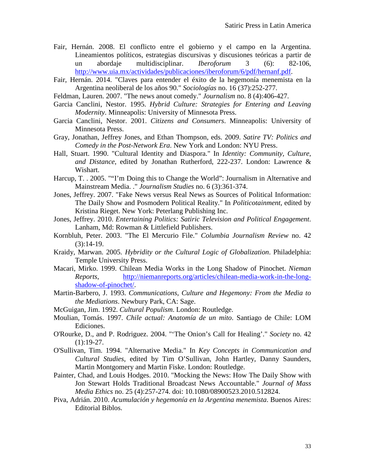- Fair, Hernán. 2008. El conflicto entre el gobierno y el campo en la Argentina. Lineamientos políticos, estrategias discursivas y discusiones teóricas a partir de un abordaje multidisciplinar. *Iberoforum* 3 (6): 82-106, [http://www.uia.mx/actividades/publicaciones/iberoforum/6/pdf/hernanf.pdf.](http://www.uia.mx/actividades/publicaciones/iberoforum/6/pdf/hernanf.pdf)
- Fair, Hernán. 2014. "Claves para entender el éxito de la hegemonía menemista en la Argentina neoliberal de los años 90." *Sociologías* no. 16 (37):252-277.
- Feldman, Lauren. 2007. "The news anout comedy." *Journalism* no. 8 (4):406-427.
- Garcia Canclini, Nestor. 1995. *Hybrid Culture: Strategies for Entering and Leaving Modernity*. Minneapolis: University of Minnesota Press.
- Garcia Canclini, Nestor. 2001. *Citizens and Consumers*. Minneapolis: University of Minnesota Press.
- Gray, Jonathan, Jeffrey Jones, and Ethan Thompson, eds. 2009. *Satire TV: Politics and Comedy in the Post-Network Era*. New York and London: NYU Press.
- Hall, Stuart. 1990. "Cultural Identity and Diaspora." In *Identity: Community, Culture, and Distance*, edited by Jonathan Rutherford, 222-237. London: Lawrence & Wishart.
- Harcup, T. . 2005. ""I'm Doing this to Change the World": Journalism in Alternative and Mainstream Media. ." *Journalism Studies* no. 6 (3):361-374.
- Jones, Jeffrey. 2007. "Fake News versus Real News as Sources of Political Information: The Daily Show and Posmodern Political Reality." In *Politicotainment*, edited by Kristina Rieget. New York: Peterlang Publishing Inc.
- Jones, Jeffrey. 2010. *Entertaining Politics: Satiric Television and Political Engagement*. Lanham, Md: Rowman & Littlefield Publishers.
- Kornbluh, Peter. 2003. "The El Mercurio File." *Columbia Journalism Review* no. 42  $(3):14-19.$
- Kraidy, Marwan. 2005. *Hybridity or the Cultural Logic of Globalization*. Philadelphia: Temple University Press.
- Macari, Mirko. 1999. Chilean Media Works in the Long Shadow of Pinochet. *Nieman Reports*, [http://niemanreports.org/articles/chilean-media-work-in-the-long](http://niemanreports.org/articles/chilean-media-work-in-the-long-shadow-of-pinochet/)[shadow-of-pinochet/.](http://niemanreports.org/articles/chilean-media-work-in-the-long-shadow-of-pinochet/)
- Martin-Barbero, J. 1993. *Communications, Culture and Hegemony: From the Media to the Mediations*. Newbury Park, CA: Sage.
- McGuigan, Jim. 1992. *Cultural Populism*. London: Routledge.
- Moulian, Tomás. 1997. *Chile actual: Anatomía de un mito*. Santiago de Chile: LOM Ediciones.
- O'Rourke, D., and P. Rodriguez. 2004. "'The Onion's Call for Healing'." *Society* no. 42  $(1):19-27.$
- O'Sullivan, Tim. 1994. "Alternative Media." In *Key Concepts in Communication and Cultural Studies*, edited by Tim O'Sullivan, John Hartley, Danny Saunders, Martin Montgomery and Martin Fiske. London: Routledge.
- Painter, Chad, and Louis Hodges. 2010. "Mocking the News: How The Daily Show with Jon Stewart Holds Traditional Broadcast News Accountable." *Journal of Mass Media Ethics* no. 25 (4):257-274. doi: 10.1080/08900523.2010.512824.
- Piva, Adrián. 2010. *Acumulación y hegemonía en la Argentina menemista*. Buenos Aires: Editorial Biblos.